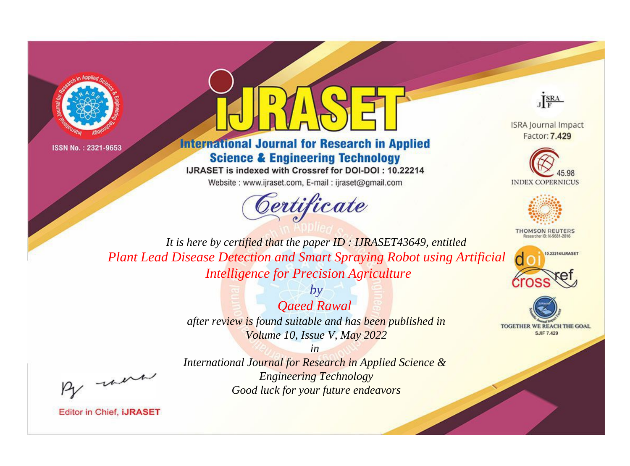



# **International Journal for Research in Applied Science & Engineering Technology**

IJRASET is indexed with Crossref for DOI-DOI: 10.22214

Website: www.ijraset.com, E-mail: ijraset@gmail.com



JERA

**ISRA Journal Impact** Factor: 7,429





**THOMSON REUTERS** 



TOGETHER WE REACH THE GOAL **SJIF 7.429** 

It is here by certified that the paper ID: IJRASET43649, entitled **Plant Lead Disease Detection and Smart Spraying Robot using Artificial Intelligence for Precision Agriculture** 

> $b\nu$ **Qaeed Rawal** after review is found suitable and has been published in Volume 10, Issue V, May 2022

were

 $in$ International Journal for Research in Applied Science & **Engineering Technology** Good luck for your future endeavors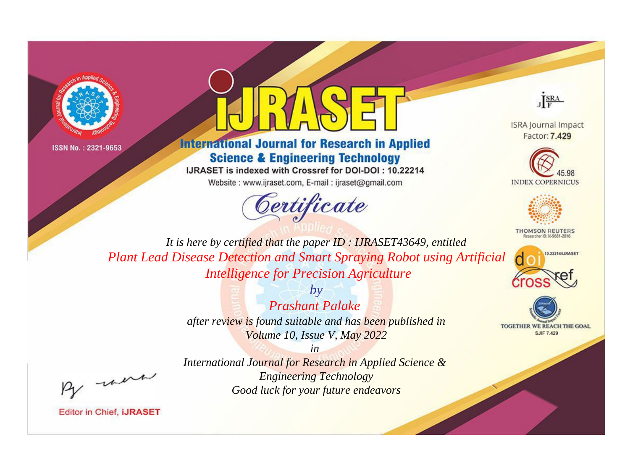



# **International Journal for Research in Applied Science & Engineering Technology**

IJRASET is indexed with Crossref for DOI-DOI: 10.22214

Website: www.ijraset.com, E-mail: ijraset@gmail.com





**ISRA Journal Impact** Factor: 7.429





**THOMSON REUTERS** 



TOGETHER WE REACH THE GOAL **SJIF 7.429** 

*It is here by certified that the paper ID : IJRASET43649, entitled Plant Lead Disease Detection and Smart Spraying Robot using Artificial Intelligence for Precision Agriculture*

> *by Prashant Palake after review is found suitable and has been published in Volume 10, Issue V, May 2022*

, un

*International Journal for Research in Applied Science & Engineering Technology Good luck for your future endeavors*

*in*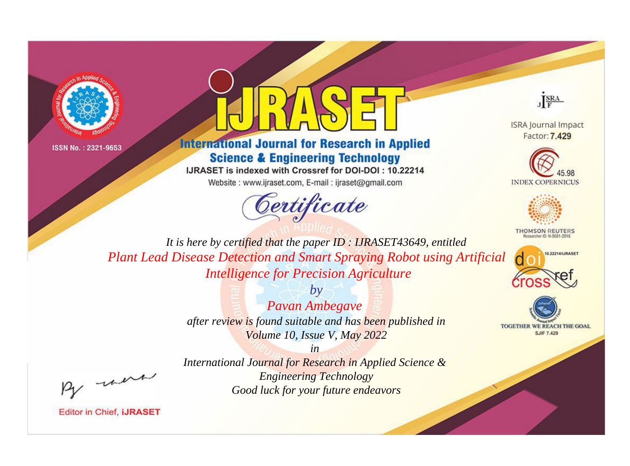



# **International Journal for Research in Applied Science & Engineering Technology**

IJRASET is indexed with Crossref for DOI-DOI: 10.22214

Website: www.ijraset.com, E-mail: ijraset@gmail.com



JERA

**ISRA Journal Impact** Factor: 7.429





**THOMSON REUTERS** 



TOGETHER WE REACH THE GOAL **SJIF 7.429** 

It is here by certified that the paper ID: IJRASET43649, entitled **Plant Lead Disease Detection and Smart Spraying Robot using Artificial Intelligence for Precision Agriculture** 

> $b\nu$ Pavan Ambegave after review is found suitable and has been published in Volume 10, Issue V, May 2022

were

International Journal for Research in Applied Science & **Engineering Technology** Good luck for your future endeavors

 $in$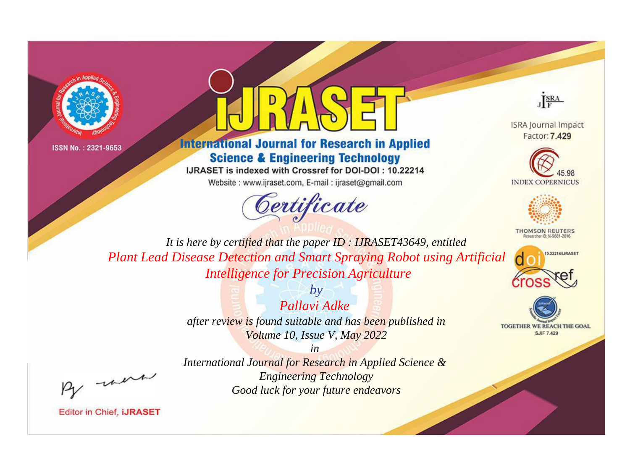



# **International Journal for Research in Applied Science & Engineering Technology**

IJRASET is indexed with Crossref for DOI-DOI: 10.22214

Website: www.ijraset.com, E-mail: ijraset@gmail.com



JERA

**ISRA Journal Impact** Factor: 7.429





**THOMSON REUTERS** 



TOGETHER WE REACH THE GOAL **SJIF 7.429** 

It is here by certified that the paper ID: IJRASET43649, entitled **Plant Lead Disease Detection and Smart Spraying Robot using Artificial Intelligence for Precision Agriculture** 

> $b\nu$ Pallavi Adke after review is found suitable and has been published in Volume 10, Issue V, May 2022

> > $in$

were

International Journal for Research in Applied Science & **Engineering Technology** Good luck for your future endeavors